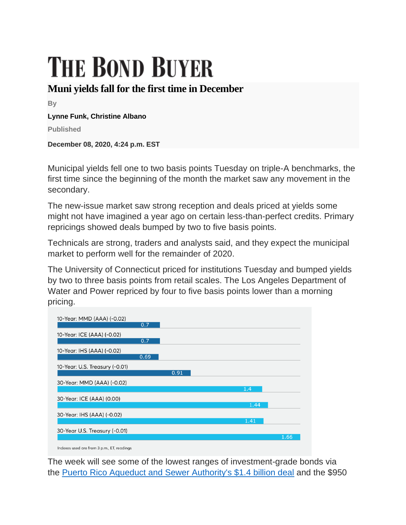# **THE BOND BUYER**

# **Muni yields fall for the first time in December**

**By**

#### **Lynne Funk, Christine Albano**

**Published**

**December 08, 2020, 4:24 p.m. EST**

Municipal yields fell one to two basis points Tuesday on triple-A benchmarks, the first time since the beginning of the month the market saw any movement in the secondary.

The new-issue market saw strong reception and deals priced at yields some might not have imagined a year ago on certain less-than-perfect credits. Primary repricings showed deals bumped by two to five basis points.

Technicals are strong, traders and analysts said, and they expect the municipal market to perform well for the remainder of 2020.

The University of Connecticut priced for institutions Tuesday and bumped yields by two to three basis points from retail scales. The Los Angeles Department of Water and Power repriced by four to five basis points lower than a morning pricing.

| 10-Year: MMD (AAA) (-0.02)     | 0.7  |      |      |      |
|--------------------------------|------|------|------|------|
|                                |      |      |      |      |
| 10-Year: ICE (AAA) (-0.02)     | 0.7  |      |      |      |
|                                |      |      |      |      |
| 10-Year: IHS (AAA) (-0.02)     |      |      |      |      |
|                                | 0.69 |      |      |      |
| 10-Year: U.S. Treasury (-0.01) |      |      |      |      |
|                                |      | 0.91 |      |      |
| 30-Year: MMD (AAA) (-0.02)     |      |      |      |      |
|                                |      |      | 1.4  |      |
| 30-Year: ICE (AAA) (0.00)      |      |      |      |      |
|                                |      |      | 1.44 |      |
| 30-Year: IHS (AAA) (-0.02)     |      |      |      |      |
|                                |      |      | 1.41 |      |
| 30-Year U.S. Treasury (-0.01)  |      |      |      |      |
|                                |      |      |      | 1.66 |
|                                |      |      |      |      |

The week will see some of the lowest ranges of investment-grade bonds via the [Puerto Rico Aqueduct and Sewer Authority's \\$1.4 billion deal](https://www.bondbuyer.com/news/prasa-to-sell-in-midst-of-island-bankruptcy) and the \$950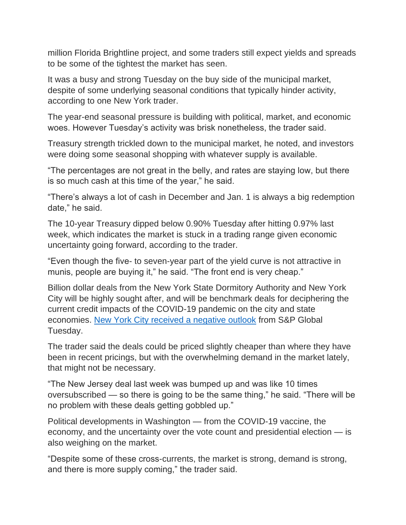million Florida Brightline project, and some traders still expect yields and spreads to be some of the tightest the market has seen.

It was a busy and strong Tuesday on the buy side of the municipal market, despite of some underlying seasonal conditions that typically hinder activity, according to one New York trader.

The year-end seasonal pressure is building with political, market, and economic woes. However Tuesday's activity was brisk nonetheless, the trader said.

Treasury strength trickled down to the municipal market, he noted, and investors were doing some seasonal shopping with whatever supply is available.

"The percentages are not great in the belly, and rates are staying low, but there is so much cash at this time of the year," he said.

"There's always a lot of cash in December and Jan. 1 is always a big redemption date," he said.

The 10-year Treasury dipped below 0.90% Tuesday after hitting 0.97% last week, which indicates the market is stuck in a trading range given economic uncertainty going forward, according to the trader.

"Even though the five- to seven-year part of the yield curve is not attractive in munis, people are buying it," he said. "The front end is very cheap."

Billion dollar deals from the New York State Dormitory Authority and New York City will be highly sought after, and will be benchmark deals for deciphering the current credit impacts of the COVID-19 pandemic on the city and state economies. [New York City received a negative outlook](https://www.bondbuyer.com/news/new-york-city-gets-negative-outlook-from-s-p) from S&P Global Tuesday.

The trader said the deals could be priced slightly cheaper than where they have been in recent pricings, but with the overwhelming demand in the market lately, that might not be necessary.

"The New Jersey deal last week was bumped up and was like 10 times oversubscribed — so there is going to be the same thing," he said. "There will be no problem with these deals getting gobbled up."

Political developments in Washington — from the COVID-19 vaccine, the economy, and the uncertainty over the vote count and presidential election — is also weighing on the market.

"Despite some of these cross-currents, the market is strong, demand is strong, and there is more supply coming," the trader said.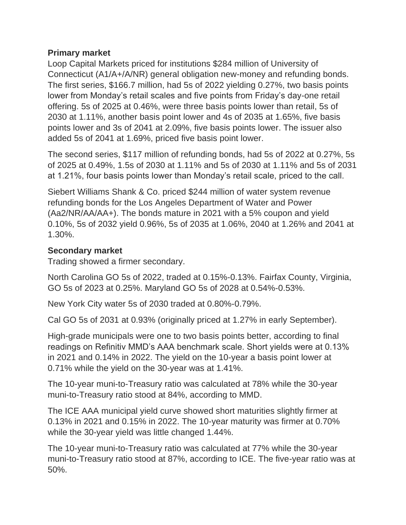#### **Primary market**

Loop Capital Markets priced for institutions \$284 million of University of Connecticut (A1/A+/A/NR) general obligation new-money and refunding bonds. The first series, \$166.7 million, had 5s of 2022 yielding 0.27%, two basis points lower from Monday's retail scales and five points from Friday's day-one retail offering. 5s of 2025 at 0.46%, were three basis points lower than retail, 5s of 2030 at 1.11%, another basis point lower and 4s of 2035 at 1.65%, five basis points lower and 3s of 2041 at 2.09%, five basis points lower. The issuer also added 5s of 2041 at 1.69%, priced five basis point lower.

The second series, \$117 million of refunding bonds, had 5s of 2022 at 0.27%, 5s of 2025 at 0.49%, 1.5s of 2030 at 1.11% and 5s of 2030 at 1.11% and 5s of 2031 at 1.21%, four basis points lower than Monday's retail scale, priced to the call.

Siebert Williams Shank & Co. priced \$244 million of water system revenue refunding bonds for the Los Angeles Department of Water and Power (Aa2/NR/AA/AA+). The bonds mature in 2021 with a 5% coupon and yield 0.10%, 5s of 2032 yield 0.96%, 5s of 2035 at 1.06%, 2040 at 1.26% and 2041 at 1.30%.

## **Secondary market**

Trading showed a firmer secondary.

North Carolina GO 5s of 2022, traded at 0.15%-0.13%. Fairfax County, Virginia, GO 5s of 2023 at 0.25%. Maryland GO 5s of 2028 at 0.54%-0.53%.

New York City water 5s of 2030 traded at 0.80%-0.79%.

Cal GO 5s of 2031 at 0.93% (originally priced at 1.27% in early September).

High-grade municipals were one to two basis points better, according to final readings on Refinitiv MMD's AAA benchmark scale. Short yields were at 0.13% in 2021 and 0.14% in 2022. The yield on the 10-year a basis point lower at 0.71% while the yield on the 30-year was at 1.41%.

The 10-year muni-to-Treasury ratio was calculated at 78% while the 30-year muni-to-Treasury ratio stood at 84%, according to MMD.

The ICE AAA municipal yield curve showed short maturities slightly firmer at 0.13% in 2021 and 0.15% in 2022. The 10-year maturity was firmer at 0.70% while the 30-year yield was little changed 1.44%.

The 10-year muni-to-Treasury ratio was calculated at 77% while the 30-year muni-to-Treasury ratio stood at 87%, according to ICE. The five-year ratio was at 50%.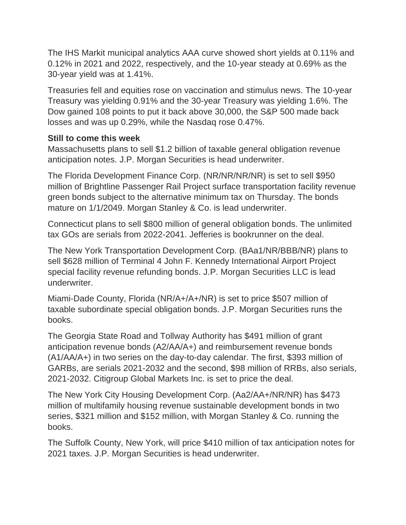The IHS Markit municipal analytics AAA curve showed short yields at 0.11% and 0.12% in 2021 and 2022, respectively, and the 10-year steady at 0.69% as the 30-year yield was at 1.41%.

Treasuries fell and equities rose on vaccination and stimulus news. The 10-year Treasury was yielding 0.91% and the 30-year Treasury was yielding 1.6%. The Dow gained 108 points to put it back above 30,000, the S&P 500 made back losses and was up 0.29%, while the Nasdaq rose 0.47%.

#### **Still to come this week**

Massachusetts plans to sell \$1.2 billion of taxable general obligation revenue anticipation notes. J.P. Morgan Securities is head underwriter.

The Florida Development Finance Corp. (NR/NR/NR/NR) is set to sell \$950 million of Brightline Passenger Rail Project surface transportation facility revenue green bonds subject to the alternative minimum tax on Thursday. The bonds mature on 1/1/2049. Morgan Stanley & Co. is lead underwriter.

Connecticut plans to sell \$800 million of general obligation bonds. The unlimited tax GOs are serials from 2022-2041. Jefferies is bookrunner on the deal.

The New York Transportation Development Corp. (BAa1/NR/BBB/NR) plans to sell \$628 million of Terminal 4 John F. Kennedy International Airport Project special facility revenue refunding bonds. J.P. Morgan Securities LLC is lead underwriter.

Miami-Dade County, Florida (NR/A+/A+/NR) is set to price \$507 million of taxable subordinate special obligation bonds. J.P. Morgan Securities runs the books.

The Georgia State Road and Tollway Authority has \$491 million of grant anticipation revenue bonds (A2/AA/A+) and reimbursement revenue bonds (A1/AA/A+) in two series on the day-to-day calendar. The first, \$393 million of GARBs, are serials 2021-2032 and the second, \$98 million of RRBs, also serials, 2021-2032. Citigroup Global Markets Inc. is set to price the deal.

The New York City Housing Development Corp. (Aa2/AA+/NR/NR) has \$473 million of multifamily housing revenue sustainable development bonds in two series, \$321 million and \$152 million, with Morgan Stanley & Co. running the books.

The Suffolk County, New York, will price \$410 million of tax anticipation notes for 2021 taxes. J.P. Morgan Securities is head underwriter.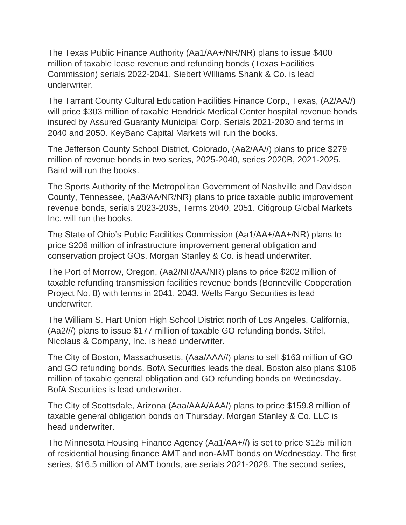The Texas Public Finance Authority (Aa1/AA+/NR/NR) plans to issue \$400 million of taxable lease revenue and refunding bonds (Texas Facilities Commission) serials 2022-2041. Siebert WIlliams Shank & Co. is lead underwriter.

The Tarrant County Cultural Education Facilities Finance Corp., Texas, (A2/AA//) will price \$303 million of taxable Hendrick Medical Center hospital revenue bonds insured by Assured Guaranty Municipal Corp. Serials 2021-2030 and terms in 2040 and 2050. KeyBanc Capital Markets will run the books.

The Jefferson County School District, Colorado, (Aa2/AA//) plans to price \$279 million of revenue bonds in two series, 2025-2040, series 2020B, 2021-2025. Baird will run the books.

The Sports Authority of the Metropolitan Government of Nashville and Davidson County, Tennessee, (Aa3/AA/NR/NR) plans to price taxable public improvement revenue bonds, serials 2023-2035, Terms 2040, 2051. Citigroup Global Markets Inc. will run the books.

The State of Ohio's Public Facilities Commission (Aa1/AA+/AA+/NR) plans to price \$206 million of infrastructure improvement general obligation and conservation project GOs. Morgan Stanley & Co. is head underwriter.

The Port of Morrow, Oregon, (Aa2/NR/AA/NR) plans to price \$202 million of taxable refunding transmission facilities revenue bonds (Bonneville Cooperation Project No. 8) with terms in 2041, 2043. Wells Fargo Securities is lead underwriter.

The William S. Hart Union High School District north of Los Angeles, California, (Aa2///) plans to issue \$177 million of taxable GO refunding bonds. Stifel, Nicolaus & Company, Inc. is head underwriter.

The City of Boston, Massachusetts, (Aaa/AAA//) plans to sell \$163 million of GO and GO refunding bonds. BofA Securities leads the deal. Boston also plans \$106 million of taxable general obligation and GO refunding bonds on Wednesday. BofA Securities is lead underwriter.

The City of Scottsdale, Arizona (Aaa/AAA/AAA/) plans to price \$159.8 million of taxable general obligation bonds on Thursday. Morgan Stanley & Co. LLC is head underwriter.

The Minnesota Housing Finance Agency (Aa1/AA+//) is set to price \$125 million of residential housing finance AMT and non-AMT bonds on Wednesday. The first series, \$16.5 million of AMT bonds, are serials 2021-2028. The second series,